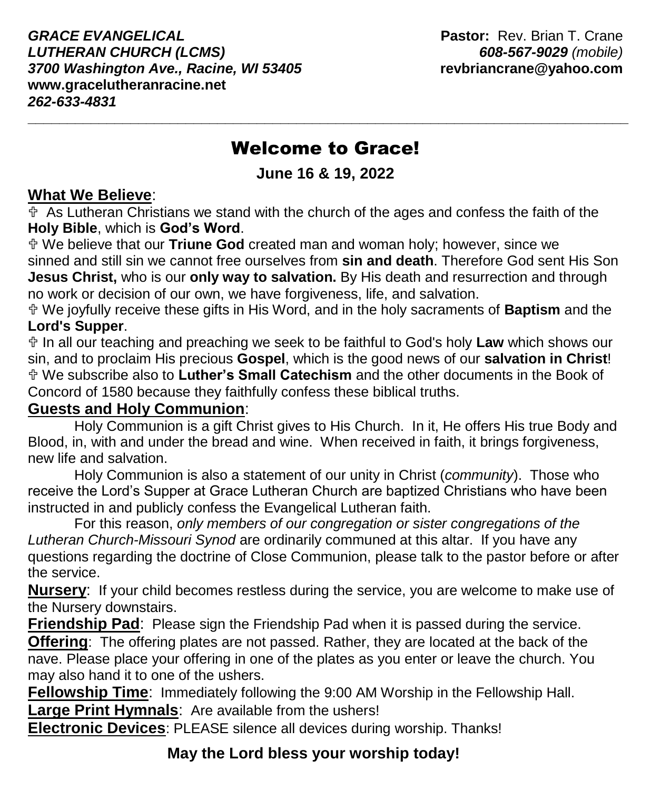*GRACE EVANGELICAL* **Pastor:** Rev. Brian T. Crane *LUTHERAN CHURCH (LCMS) 608-567-9029 (mobile) 3700 Washington Ave., Racine, WI 53405* **revbriancrane@yahoo.com www.gracelutheranracine.net** *262-633-4831*

# Welcome to Grace!

**\_\_\_\_\_\_\_\_\_\_\_\_\_\_\_\_\_\_\_\_\_\_\_\_\_\_\_\_\_\_\_\_\_\_\_\_\_\_\_\_\_\_\_\_\_\_\_\_\_\_\_\_\_\_\_\_\_\_\_\_\_\_\_\_\_\_\_\_\_\_\_\_\_\_\_\_**

**June 16 & 19, 2022**

#### **What We Believe**:

 $\overline{\Phi}$  As Lutheran Christians we stand with the church of the ages and confess the faith of the **Holy Bible**, which is **God's Word**.

 We believe that our **Triune God** created man and woman holy; however, since we sinned and still sin we cannot free ourselves from **sin and death**. Therefore God sent His Son **Jesus Christ,** who is our **only way to salvation.** By His death and resurrection and through no work or decision of our own, we have forgiveness, life, and salvation.

 We joyfully receive these gifts in His Word, and in the holy sacraments of **Baptism** and the **Lord's Supper**.

 In all our teaching and preaching we seek to be faithful to God's holy **Law** which shows our sin, and to proclaim His precious **Gospel**, which is the good news of our **salvation in Christ**! We subscribe also to **Luther's Small Catechism** and the other documents in the Book of Concord of 1580 because they faithfully confess these biblical truths.

#### **Guests and Holy Communion**:

Holy Communion is a gift Christ gives to His Church. In it, He offers His true Body and Blood, in, with and under the bread and wine. When received in faith, it brings forgiveness, new life and salvation.

Holy Communion is also a statement of our unity in Christ (*community*). Those who receive the Lord's Supper at Grace Lutheran Church are baptized Christians who have been instructed in and publicly confess the Evangelical Lutheran faith.

For this reason, *only members of our congregation or sister congregations of the Lutheran Church-Missouri Synod* are ordinarily communed at this altar. If you have any questions regarding the doctrine of Close Communion, please talk to the pastor before or after the service.

**Nursery**: If your child becomes restless during the service, you are welcome to make use of the Nursery downstairs.

**Friendship Pad**:Please sign the Friendship Pad when it is passed during the service.

**Offering**: The offering plates are not passed. Rather, they are located at the back of the nave. Please place your offering in one of the plates as you enter or leave the church. You may also hand it to one of the ushers.

**Fellowship Time**: Immediately following the 9:00 AM Worship in the Fellowship Hall.

**Large Print Hymnals**: Are available from the ushers!

**Electronic Devices**: PLEASE silence all devices during worship. Thanks!

## **May the Lord bless your worship today!**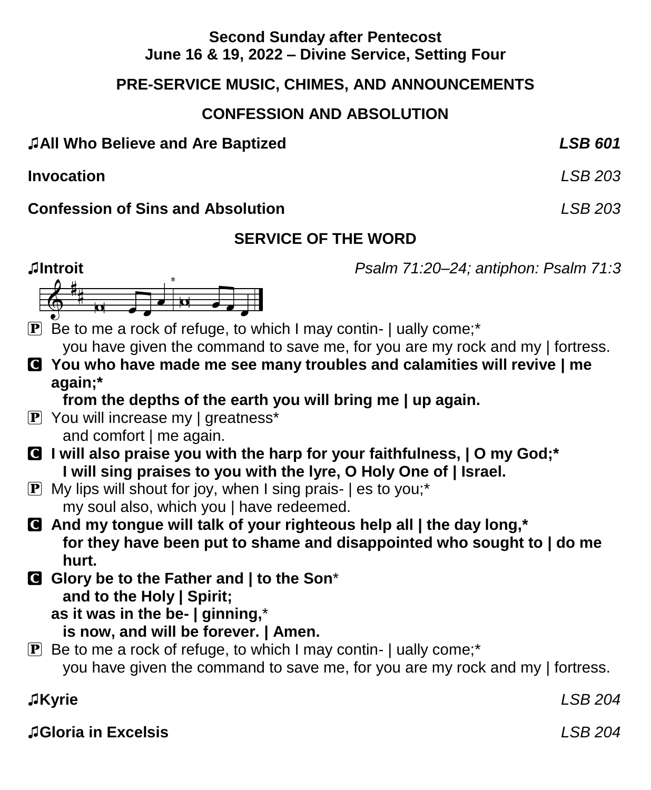#### **Second Sunday after Pentecost June 16 & 19, 2022 – Divine Service, Setting Four**

#### **PRE-SERVICE MUSIC, CHIMES, AND ANNOUNCEMENTS**

### **CONFESSION AND ABSOLUTION**

#### ♫**All Who Believe and Are Baptized** *LSB 601*

**Invocation** *LSB 203*

#### **Confession of Sins and Absolution** *LSB 203*

### **SERVICE OF THE WORD**

**♫Introit** *Psalm 71:20–24; antiphon: Psalm 71:3*



 $\mathbf{P}$  Be to me a rock of refuge, to which I may contin- | ually come;\* you have given the command to save me, for you are my rock and my | fortress.

C **You who have made me see many troubles and calamities will revive | me again;\***

**from the depths of the earth you will bring me | up again.**

- P You will increase my | greatness\* and comfort | me again.
- C **I will also praise you with the harp for your faithfulness, | O my God;\* I will sing praises to you with the lyre, O Holy One of | Israel.**
- **P** My lips will shout for joy, when I sing prais-  $|$  es to you;\* my soul also, which you | have redeemed.
- C **And my tongue will talk of your righteous help all | the day long,\* for they have been put to shame and disappointed who sought to | do me hurt.**
- C **Glory be to the Father and | to the Son**\* **and to the Holy | Spirit; as it was in the be- | ginning,**\*

**is now, and will be forever. | Amen.**

 $\mathbf{P}$  Be to me a rock of refuge, to which I may contin-  $\mathbf{I}$  ually come;<sup>\*</sup> you have given the command to save me, for you are my rock and my | fortress.

♫**Kyrie** *LSB 204*

♫**Gloria in Excelsis** *LSB 204*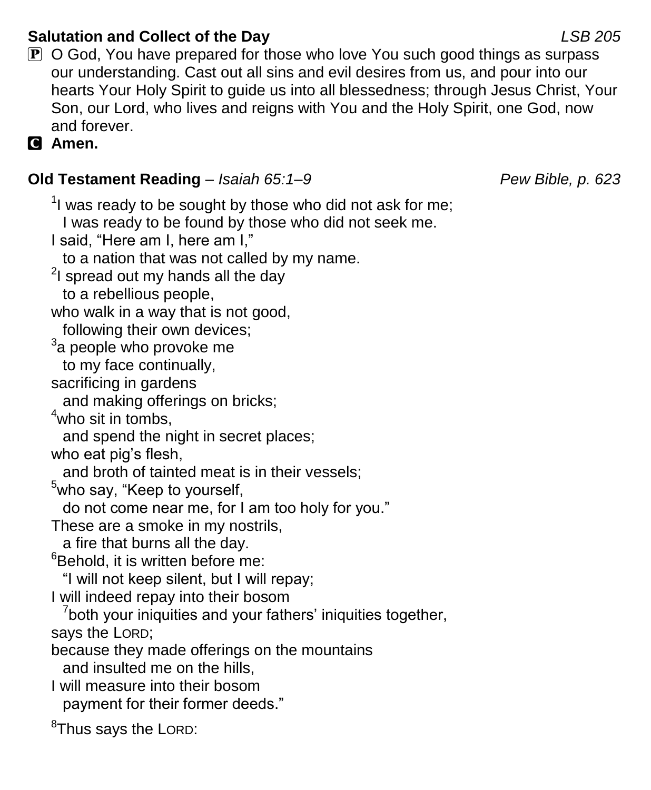### **Salutation and Collect of the Day** *LSB 205*

 $\mathbf P$  O God, You have prepared for those who love You such good things as surpass our understanding. Cast out all sins and evil desires from us, and pour into our hearts Your Holy Spirit to guide us into all blessedness; through Jesus Christ, Your Son, our Lord, who lives and reigns with You and the Holy Spirit, one God, now and forever.

C **Amen.**

#### **Old Testament Reading** – *Isaiah 65:1–9 Pew Bible, p. 623*

 $1$  was ready to be sought by those who did not ask for me; I was ready to be found by those who did not seek me. I said, "Here am I, here am I," to a nation that was not called by my name.  $2$ I spread out my hands all the day to a rebellious people, who walk in a way that is not good, following their own devices;  $3a$  people who provoke me to my face continually, sacrificing in gardens and making offerings on bricks;  $4$ who sit in tombs, and spend the night in secret places; who eat pig's flesh, and broth of tainted meat is in their vessels; <sup>5</sup>who say, "Keep to yourself, do not come near me, for I am too holy for you." These are a smoke in my nostrils, a fire that burns all the day.  $6B$ ehold, it is written before me: "I will not keep silent, but I will repay; I will indeed repay into their bosom <sup>7</sup>both your iniquities and your fathers' iniquities together, says the LORD; because they made offerings on the mountains and insulted me on the hills, I will measure into their bosom payment for their former deeds."

<sup>8</sup>Thus says the LORD: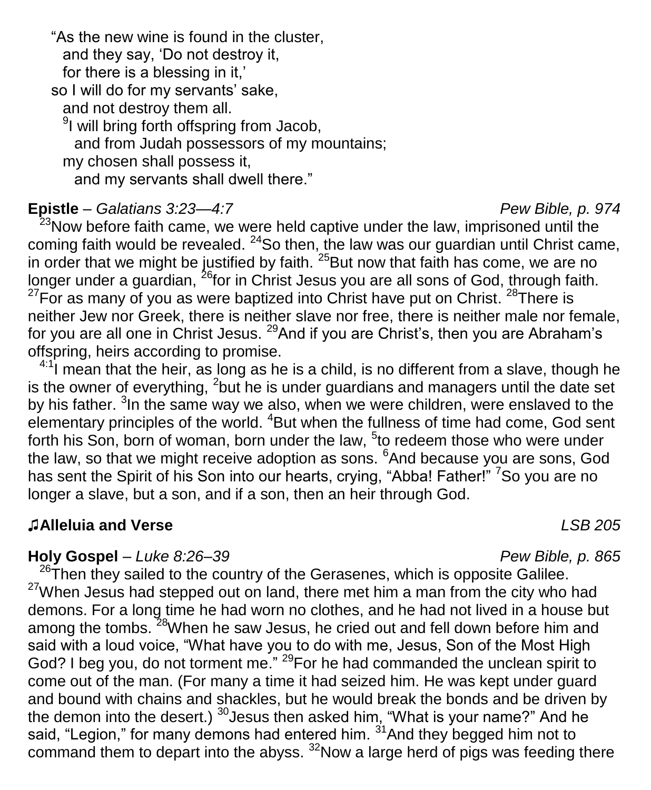"As the new wine is found in the cluster, and they say, 'Do not destroy it, for there is a blessing in it,' so I will do for my servants' sake, and not destroy them all. <sup>9</sup>I will bring forth offspring from Jacob, and from Judah possessors of my mountains; my chosen shall possess it, and my servants shall dwell there."

#### **Epistle** – *Galatians 3:23—4:7 Pew Bible, p. 974*

<sup>23</sup>Now before faith came, we were held captive under the law, imprisoned until the coming faith would be revealed.  $24$ So then, the law was our guardian until Christ came, in order that we might be justified by faith.  $25$ But now that faith has come, we are no longer under a guardian, <sup>26</sup>for in Christ Jesus you are all sons of God, through faith.  $27$ For as many of you as were baptized into Christ have put on Christ.  $28$ There is neither Jew nor Greek, there is neither slave nor free, there is neither male nor female, for you are all one in Christ Jesus. <sup>29</sup>And if you are Christ's, then you are Abraham's offspring, heirs according to promise.

 $4:1$  mean that the heir, as long as he is a child, is no different from a slave, though he is the owner of everything,  $2$  but he is under guardians and managers until the date set by his father. <sup>3</sup>In the same way we also, when we were children, were enslaved to the elementary principles of the world. <sup>4</sup>But when the fullness of time had come, God sent forth his Son, born of woman, born under the law, <sup>5</sup>to redeem those who were under the law, so that we might receive adoption as sons. <sup>6</sup>And because you are sons, God has sent the Spirit of his Son into our hearts, crying, "Abba! Father!" <sup>7</sup>So you are no longer a slave, but a son, and if a son, then an heir through God.

#### ♫**Alleluia and Verse** *LSB 205*

#### **Holy Gospel** – *Luke 8:26–39 Pew Bible, p. 865*

 $26$ Then they sailed to the country of the Gerasenes, which is opposite Galilee.  $27$ When Jesus had stepped out on land, there met him a man from the city who had demons. For a long time he had worn no clothes, and he had not lived in a house but among the tombs. <sup>28</sup>When he saw Jesus, he cried out and fell down before him and said with a loud voice, "What have you to do with me, Jesus, Son of the Most High God? I beg you, do not torment me." <sup>29</sup>For he had commanded the unclean spirit to come out of the man. (For many a time it had seized him. He was kept under guard and bound with chains and shackles, but he would break the bonds and be driven by the demon into the desert.)  $^{30}$  Jesus then asked him, "What is your name?" And he said, "Legion," for many demons had entered him.  $31$ And they begged him not to command them to depart into the abyss.  $32$ Now a large herd of pigs was feeding there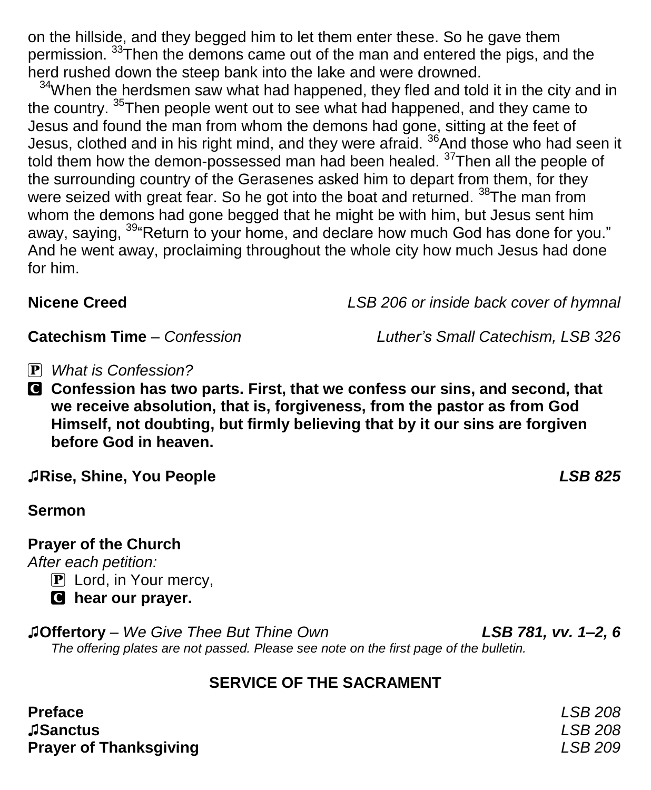on the hillside, and they begged him to let them enter these. So he gave them permission. <sup>33</sup>Then the demons came out of the man and entered the pigs, and the herd rushed down the steep bank into the lake and were drowned.

<sup>34</sup>When the herdsmen saw what had happened, they fled and told it in the city and in the country. <sup>35</sup>Then people went out to see what had happened, and they came to Jesus and found the man from whom the demons had gone, sitting at the feet of Jesus, clothed and in his right mind, and they were afraid. <sup>36</sup>And those who had seen it told them how the demon-possessed man had been healed. <sup>37</sup>Then all the people of the surrounding country of the Gerasenes asked him to depart from them, for they were seized with great fear. So he got into the boat and returned. <sup>38</sup>The man from whom the demons had gone begged that he might be with him, but Jesus sent him away, saying, <sup>39</sup> Return to your home, and declare how much God has done for you." And he went away, proclaiming throughout the whole city how much Jesus had done for him.

**Nicene Creed** *LSB 206 or inside back cover of hymnal*

**Catechism Time** – *Confession Luther's Small Catechism, LSB 326*

- P *What is Confession?*
- C **Confession has two parts. First, that we confess our sins, and second, that we receive absolution, that is, forgiveness, from the pastor as from God Himself, not doubting, but firmly believing that by it our sins are forgiven before God in heaven.**

♫**Rise, Shine, You People** *LSB 825*

**Sermon**

**Prayer of the Church**

*After each petition:*

P Lord, in Your mercy,

C **hear our prayer.**

♫**Offertory** – *We Give Thee But Thine Own LSB 781, vv. 1–2, 6 The offering plates are not passed. Please see note on the first page of the bulletin.*

### **SERVICE OF THE SACRAMENT**

| <b>Preface</b>                | LSB 208 |
|-------------------------------|---------|
| <b>ASanctus</b>               | LSB 208 |
| <b>Prayer of Thanksgiving</b> | LSB 209 |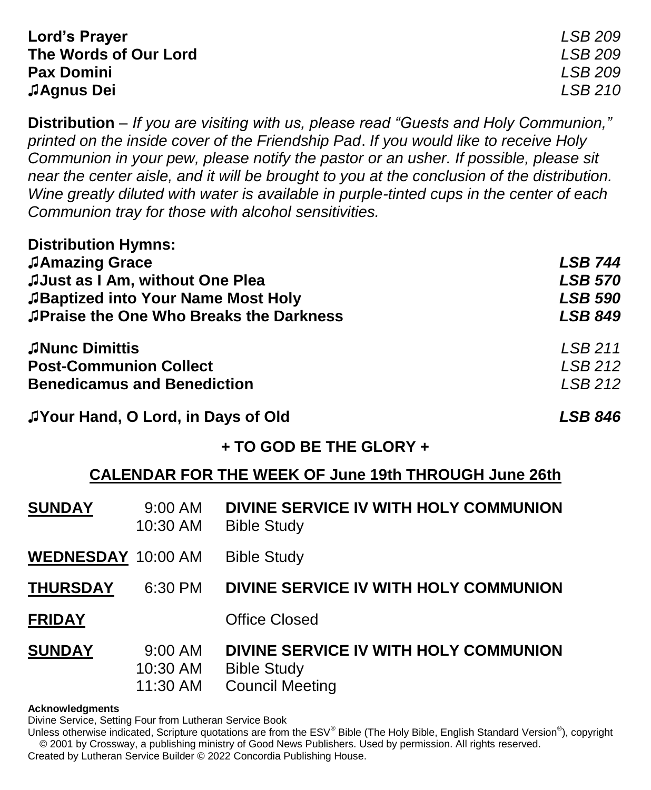| Lord's Prayer         | LSB 209 |
|-----------------------|---------|
| The Words of Our Lord | LSB 209 |
| <b>Pax Domini</b>     | LSB 209 |
| <b>JAgnus Dei</b>     | LSB 210 |

**Distribution** – *If you are visiting with us, please read "Guests and Holy Communion," printed on the inside cover of the Friendship Pad*. *If you would like to receive Holy Communion in your pew, please notify the pastor or an usher. If possible, please sit near the center aisle, and it will be brought to you at the conclusion of the distribution. Wine greatly diluted with water is available in purple-tinted cups in the center of each Communion tray for those with alcohol sensitivities.*

| <b>Distribution Hymns:</b>                    |                |
|-----------------------------------------------|----------------|
| JAmazing Grace                                | <b>LSB 744</b> |
| JJust as I Am, without One Plea               | <b>LSB 570</b> |
| JBaptized into Your Name Most Holy            | <b>LSB 590</b> |
| <b>Praise the One Who Breaks the Darkness</b> | <b>LSB 849</b> |
| <b>JNunc Dimittis</b>                         | LSB 211        |
| <b>Post-Communion Collect</b>                 | LSB212         |
| <b>Benedicamus and Benediction</b>            | LSB 212        |
|                                               |                |

| JYour Hand, O Lord, in Days of Old | <b>LSB 846</b> |
|------------------------------------|----------------|
|                                    |                |

**Distribution Hymns:**

#### **+ TO GOD BE THE GLORY +**

#### **CALENDAR FOR THE WEEK OF June 19th THROUGH June 26th**

| <b>SUNDAY</b>             | $9:00$ AM<br>10:30 AM           | DIVINE SERVICE IV WITH HOLY COMMUNION<br><b>Bible Study</b>                           |
|---------------------------|---------------------------------|---------------------------------------------------------------------------------------|
| <b>WEDNESDAY 10:00 AM</b> |                                 | <b>Bible Study</b>                                                                    |
| <b>THURSDAY</b>           | 6:30 PM                         | DIVINE SERVICE IV WITH HOLY COMMUNION                                                 |
| <b>FRIDAY</b>             |                                 | <b>Office Closed</b>                                                                  |
| <b>SUNDAY</b>             | 9:00 AM<br>10:30 AM<br>11:30 AM | DIVINE SERVICE IV WITH HOLY COMMUNION<br><b>Bible Study</b><br><b>Council Meeting</b> |

#### **Acknowledgments**

Divine Service, Setting Four from Lutheran Service Book

Unless otherwise indicated, Scripture quotations are from the ESV® Bible (The Holy Bible, English Standard Version®), copyright © 2001 by Crossway, a publishing ministry of Good News Publishers. Used by permission. All rights reserved.

Created by Lutheran Service Builder © 2022 Concordia Publishing House.